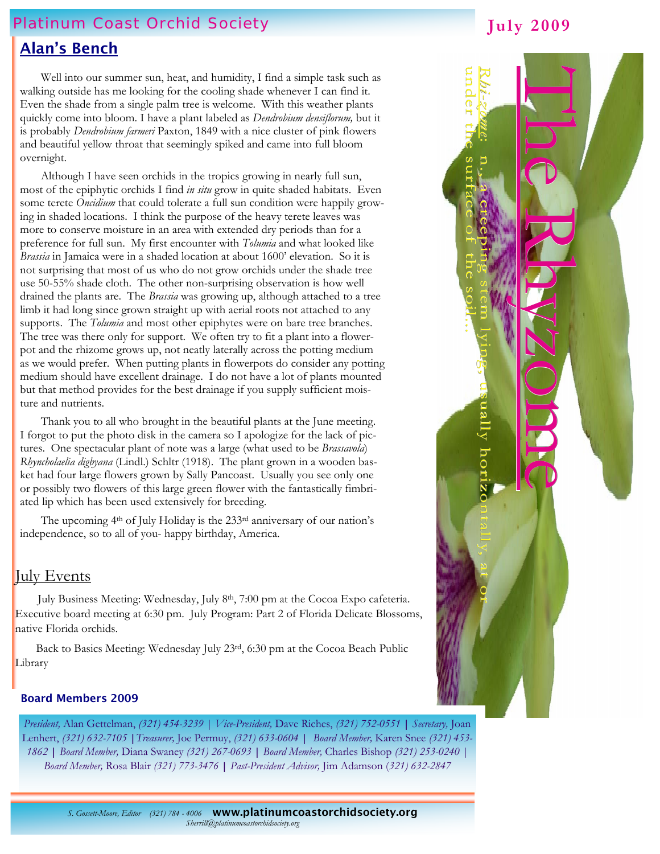# Platinum Coast Orchid Society

## Alan's Bench

 Well into our summer sun, heat, and humidity, I find a simple task such as walking outside has me looking for the cooling shade whenever I can find it. Even the shade from a single palm tree is welcome. With this weather plants quickly come into bloom. I have a plant labeled as *Dendrobium densiflorum,* but it is probably *Dendrobium farmeri* Paxton, 1849 with a nice cluster of pink flowers and beautiful yellow throat that seemingly spiked and came into full bloom overnight.

 Although I have seen orchids in the tropics growing in nearly full sun, most of the epiphytic orchids I find *in situ* grow in quite shaded habitats. Even some terete *Oncidium* that could tolerate a full sun condition were happily growing in shaded locations. I think the purpose of the heavy terete leaves was more to conserve moisture in an area with extended dry periods than for a preference for full sun. My first encounter with *Tolumia* and what looked like *Brassia* in Jamaica were in a shaded location at about 1600' elevation. So it is not surprising that most of us who do not grow orchids under the shade tree use 50-55% shade cloth. The other non-surprising observation is how well drained the plants are. The *Brassia* was growing up, although attached to a tree limb it had long since grown straight up with aerial roots not attached to any supports. The *Tolumia* and most other epiphytes were on bare tree branches. The tree was there only for support. We often try to fit a plant into a flowerpot and the rhizome grows up, not neatly laterally across the potting medium as we would prefer. When putting plants in flowerpots do consider any potting medium should have excellent drainage. I do not have a lot of plants mounted but that method provides for the best drainage if you supply sufficient moisture and nutrients.

 Thank you to all who brought in the beautiful plants at the June meeting. I forgot to put the photo disk in the camera so I apologize for the lack of pictures. One spectacular plant of note was a large (what used to be *Brassavola*) *Rhyncholaelia digbyana* (Lindl.) Schltr (1918). The plant grown in a wooden basket had four large flowers grown by Sally Pancoast. Usually you see only one or possibly two flowers of this large green flower with the fantastically fimbriated lip which has been used extensively for breeding.

 The upcoming 4th of July Holiday is the 233rd anniversary of our nation's independence, so to all of you- happy birthday, America.

### July Events

July Business Meeting: Wednesday, July 8<sup>th</sup>, 7:00 pm at the Cocoa Expo cafeteria. Executive board meeting at 6:30 pm. July Program: Part 2 of Florida Delicate Blossoms, native Florida orchids.

 Back to Basics Meeting: Wednesday July 23rd, 6:30 pm at the Cocoa Beach Public Library

#### Board Members 2009

*President,* Alan Gettelman, *(321) 454-3239 | Vice-President,* Dave Riches, *(321) 752-0551* **|** *Secretary,* Joan Lenhert, *(321) 632-7105* **|***Treasurer,* Joe Permuy, *(321) 633-0604* **|** *Board Member,* Karen Snee *(321) 453- 1862* **|** *Board Member,* Diana Swaney *(321) 267-0693* **|** *Board Member,* Charles Bishop *(321) 253-0240 | Board Member,* Rosa Blair *(321) 773-3476* **|** *Past-President Advisor,* Jim Adamson (*321) 632-2847* 



**July 2009** 

*S. Gossett-Moore, Editor (321) 784 - 4006* www.platinumcoastorchidsociety.org*Sherrill@platinumcoastorchidsociety.org*